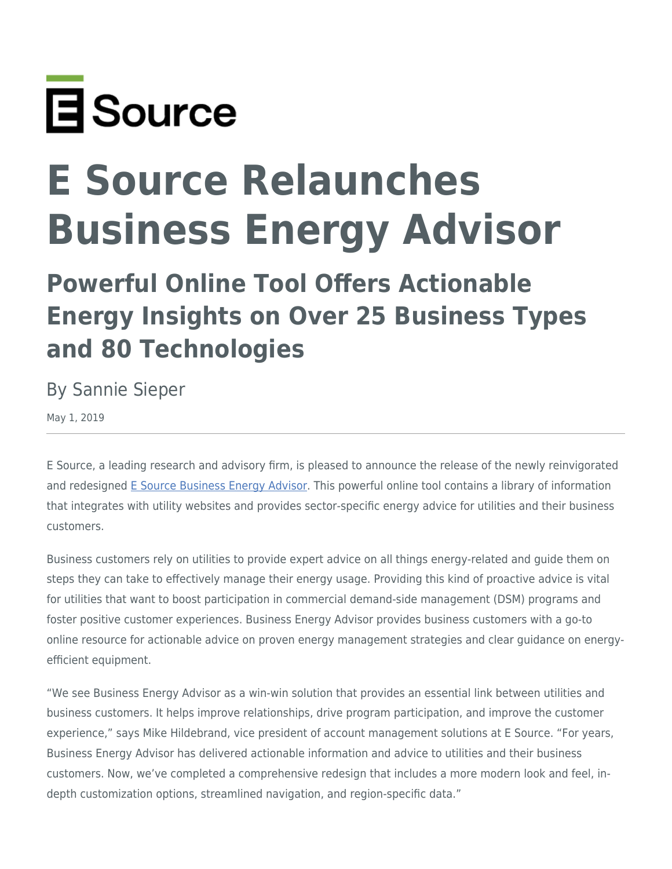

## **E Source Relaunches Business Energy Advisor**

## **Powerful Online Tool Offers Actionable Energy Insights on Over 25 Business Types and 80 Technologies**

By Sannie Sieper

May 1, 2019

E Source, a leading research and advisory firm, is pleased to announce the release of the newly reinvigorated and redesigned [E Source Business Energy Advisor.](https://www.esource.com/BusinessEnergyAdvisor) This powerful online tool contains a library of information that integrates with utility websites and provides sector-specific energy advice for utilities and their business customers.

Business customers rely on utilities to provide expert advice on all things energy-related and guide them on steps they can take to effectively manage their energy usage. Providing this kind of proactive advice is vital for utilities that want to boost participation in commercial demand-side management (DSM) programs and foster positive customer experiences. Business Energy Advisor provides business customers with a go-to online resource for actionable advice on proven energy management strategies and clear guidance on energyefficient equipment.

"We see Business Energy Advisor as a win-win solution that provides an essential link between utilities and business customers. It helps improve relationships, drive program participation, and improve the customer experience," says Mike Hildebrand, vice president of account management solutions at E Source. "For years, Business Energy Advisor has delivered actionable information and advice to utilities and their business customers. Now, we've completed a comprehensive redesign that includes a more modern look and feel, indepth customization options, streamlined navigation, and region-specific data."